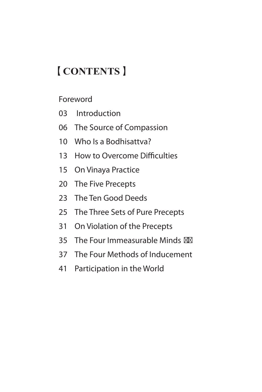# 【**CONTENTS**】

Foreword

- 03 Introduction
- 06 The Source of Compassion
- 10 Who Is a Bodhisattva?
- 13 How to Overcome Difficulties
- 15 On Vinaya Practice
- 20 The Five Precepts
- 23 The Ten Good Deeds
- 25 The Three Sets of Pure Precepts
- 31 On Violation of the Precepts
- 35 The Four Immeasurable Minds
- 37 The Four Methods of Inducement
- 41 Participation in the World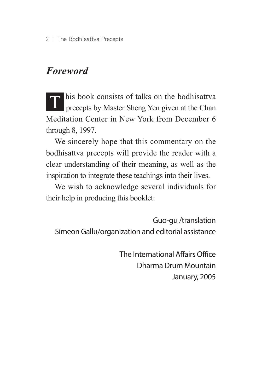2 The Bodhisattva Precepts

# *Foreword*

T his book consists of talks on the bodhisattva<br>precepts by Master Sheng Yen given at the Chan Meditation Center in New York from December 6 through 8, 1997.

We sincerely hope that this commentary on the bodhisattva precepts will provide the reader with a clear understanding of their meaning, as well as the inspiration to integrate these teachings into their lives.

We wish to acknowledge several individuals for their help in producing this booklet:

Guo-gu /translation Simeon Gallu/organization and editorial assistance

> The International Affairs Office DharmaDrum Mountain January, 2005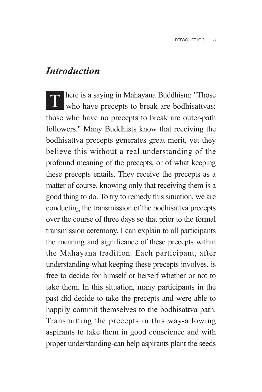#### *Introduction*

**T** here is a saying in Mahayana Buddhism: "Those who have precepts to break are bodhisattvas; those who have no precepts to break are outer-path followers." Many Buddhists know that receiving the bodhisattva precepts generates great merit, yet they believe this without a real understanding of the profound meaning of the precepts, or of what keeping these precepts entails. They receive the precepts as a matter of course, knowing only that receiving them is a good thing to do. To try to remedy this situation, we are conducting the transmission of the bodhisattva precepts over the course of three days so that prior to the formal transmission ceremony, I can explain to all participants the meaning and significance of these precepts within the Mahayana tradition. Each participant, after understanding what keeping these precepts involves, is free to decide for himself or herself whether or not to take them. In this situation, many participants in the past did decide to take the precepts and were able to happily commit themselves to the bodhisattva path. Transmitting the precepts in this way-allowing aspirants to take them in good conscience and with proper understanding-can help aspirants plant the seeds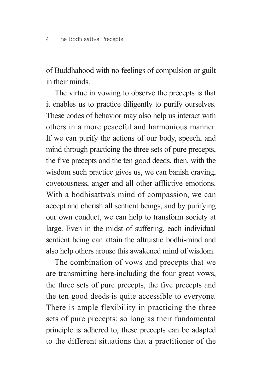of Buddhahood with no feelings of compulsion or guilt in their minds.

The virtue in vowing to observe the precepts is that it enables us to practice diligently to purify ourselves. These codes of behavior may also help us interact with others in a more peaceful and harmonious manner. If we can purify the actions of our body, speech, and mind through practicing the three sets of pure precepts, the five precepts and the ten good deeds, then, with the wisdom such practice gives us, we can banish craving, covetousness, anger and all other afflictive emotions. With a bodhisattva's mind of compassion, we can accept and cherish all sentient beings, and by purifying our own conduct, we can help to transform society at large. Even in the midst of suffering, each individual sentient being can attain the altruistic bodhi-mind and also help others arouse this awakened mind of wisdom.

The combination of vows and precepts that we are transmitting here-including the four great vows, the three sets of pure precepts, the five precepts and the ten good deeds-is quite accessible to everyone. There is ample flexibility in practicing the three sets of pure precepts: so long as their fundamental principle is adhered to, these precepts can be adapted to the different situations that a practitioner of the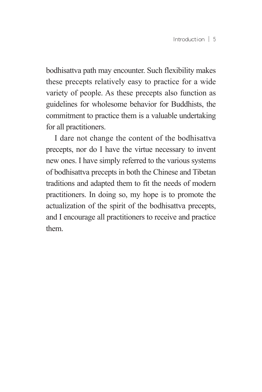bodhisattva path may encounter. Such flexibility makes these precepts relatively easy to practice for a wide variety of people. As these precepts also function as guidelines for wholesome behavior for Buddhists, the commitment to practice them is a valuable undertaking for all practitioners.

I dare not change the content of the bodhisattva precepts, nor do I have the virtue necessary to invent new ones. I have simply referred to the various systems of bodhisattva precepts in both the Chinese and Tibetan traditions and adapted them to fit the needs of modern practitioners. In doing so, my hope is to promote the actualization of the spirit of the bodhisattva precepts, and I encourage all practitioners to receive and practice them.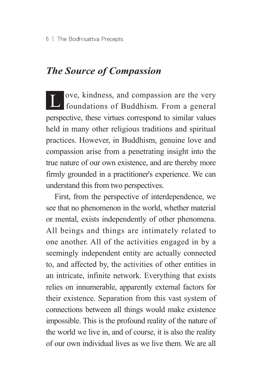# *The Source of Compassion*

L ove, kindness, and compassion are the very foundations of Buddhism. From a general perspective, these virtues correspond to similar values held in many other religious traditions and spiritual practices. However, in Buddhism, genuine love and compassion arise from a penetrating insight into the true nature of our own existence, and are thereby more firmly grounded in a practitioner's experience. We can understand this from two perspectives.

First, from the perspective of interdependence, we see that no phenomenon in the world, whether material or mental, exists independently of other phenomena. All beings and things are intimately related to one another. All of the activities engaged in by a seemingly independent entity are actually connected to, and affected by, the activities of other entities in an intricate, infinite network. Everything that exists relies on innumerable, apparently external factors for their existence. Separation from this vast system of connections between all things would make existence impossible. This is the profound reality of the nature of the world we live in, and of course, it is also the reality of our own individual lives as we live them. We are all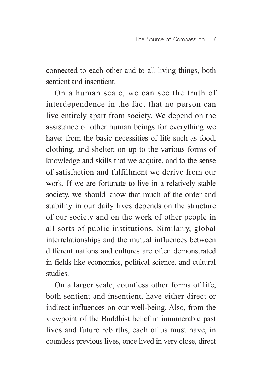connected to each other and to all living things, both sentient and insentient.

On a human scale, we can see the truth of interdependence in the fact that no person can live entirely apart from society. We depend on the assistance of other human beings for everything we have: from the basic necessities of life such as food, clothing, and shelter, on up to the various forms of knowledge and skills that we acquire, and to the sense of satisfaction and fulfillment we derive from our work. If we are fortunate to live in a relatively stable society, we should know that much of the order and stability in our daily lives depends on the structure of our society and on the work of other people in all sorts of public institutions. Similarly, global interrelationships and the mutual influences between different nations and cultures are often demonstrated in fields like economics, political science, and cultural studies.

On a larger scale, countless other forms of life, both sentient and insentient, have either direct or indirect influences on our well-being. Also, from the viewpoint of the Buddhist belief in innumerable past lives and future rebirths, each of us must have, in countless previous lives, once lived in very close, direct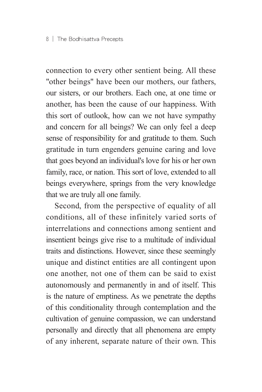connection to every other sentient being. All these "other beings" have been our mothers, our fathers, our sisters, or our brothers. Each one, at one time or another, has been the cause of our happiness. With this sort of outlook, how can we not have sympathy and concern for all beings? We can only feel a deep sense of responsibility for and gratitude to them. Such gratitude in turn engenders genuine caring and love that goes beyond an individual's love for his or her own family, race, or nation. This sort of love, extended to all beings everywhere, springs from the very knowledge that we are truly all one family.

Second, from the perspective of equality of all conditions, all of these infinitely varied sorts of interrelations and connections among sentient and insentient beings give rise to a multitude of individual traits and distinctions. However, since these seemingly unique and distinct entities are all contingent upon one another, not one of them can be said to exist autonomously and permanently in and of itself. This is the nature of emptiness. As we penetrate the depths of this conditionality through contemplation and the cultivation of genuine compassion, we can understand personally and directly that all phenomena are empty of any inherent, separate nature of their own. This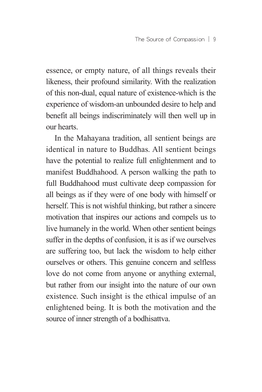essence, or empty nature, of all things reveals their likeness, their profound similarity. With the realization of this non-dual, equal nature of existence-which is the experience of wisdom-an unbounded desire to help and benefit all beings indiscriminately will then well up in our hearts.

In the Mahayana tradition, all sentient beings are identical in nature to Buddhas. All sentient beings have the potential to realize full enlightenment and to manifest Buddhahood. A person walking the path to full Buddhahood must cultivate deep compassion for all beings as if they were of one body with himself or herself. This is not wishful thinking, but rather a sincere motivation that inspires our actions and compels us to live humanely in the world. When other sentient beings suffer in the depths of confusion, it is as if we ourselves are suffering too, but lack the wisdom to help either ourselves or others. This genuine concern and selfless love do not come from anyone or anything external, but rather from our insight into the nature of our own existence. Such insight is the ethical impulse of an enlightened being. It is both the motivation and the source of inner strength of a bodhisattva.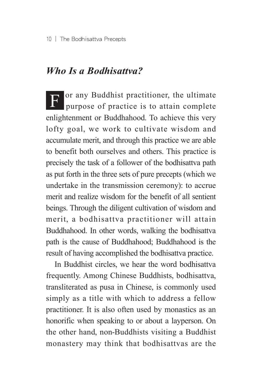#### *Who Is a Bodhisattva?*

F or any Buddhist practitioner, the ultimate purpose of practice is to attain complete enlightenment or Buddhahood. To achieve this very lofty goal, we work to cultivate wisdom and accumulate merit, and through this practice we are able to benefit both ourselves and others. This practice is precisely the task of a follower of the bodhisattva path as put forth in the three sets of pure precepts (which we undertake in the transmission ceremony): to accrue merit and realize wisdom for the benefit of all sentient beings. Through the diligent cultivation of wisdom and merit, a bodhisattva practitioner will attain Buddhahood. In other words, walking the bodhisattva path is the cause of Buddhahood; Buddhahood is the result of having accomplished the bodhisattva practice.

In Buddhist circles, we hear the word bodhisattva frequently. Among Chinese Buddhists, bodhisattva, transliterated as pusa in Chinese, is commonly used simply as a title with which to address a fellow practitioner. It is also often used by monastics as an honorific when speaking to or about a layperson. On the other hand, non-Buddhists visiting a Buddhist monastery may think that bodhisattvas are the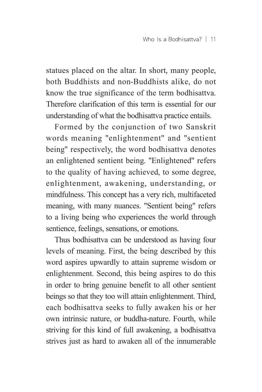statues placed on the altar. In short, many people, both Buddhists and non-Buddhists alike, do not know the true significance of the term bodhisattva. Therefore clarification of this term is essential for our understanding of what the bodhisattva practice entails.

Formed by the conjunction of two Sanskrit words meaning "enlightenment" and "sentient being" respectively, the word bodhisattva denotes an enlightened sentient being. "Enlightened" refers to the quality of having achieved, to some degree, enlightenment, awakening, understanding, or mindfulness. This concept has a very rich, multifaceted meaning, with many nuances. "Sentient being" refers to a living being who experiences the world through sentience, feelings, sensations, or emotions.

Thus bodhisattva can be understood as having four levels of meaning. First, the being described by this word aspires upwardly to attain supreme wisdom or enlightenment. Second, this being aspires to do this in order to bring genuine benefit to all other sentient beings so that they too will attain enlightenment. Third, each bodhisattva seeks to fully awaken his or her own intrinsic nature, or buddha-nature. Fourth, while striving for this kind of full awakening, a bodhisattva strives just as hard to awaken all of the innumerable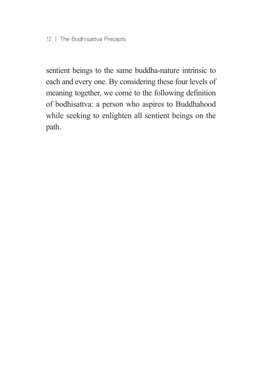sentient beings to the same buddha-nature intrinsic to each and every one. By considering these four levels of meaning together, we come to the following definition of bodhisattva: a person who aspires to Buddhahood while seeking to enlighten all sentient beings on the path.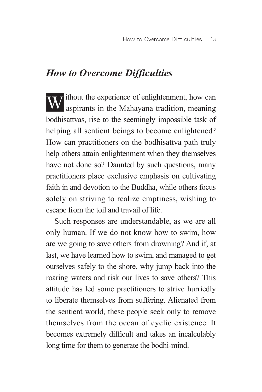# *How to Overcome Difficulties*

W  $\frac{1}{2}$  ithout the experience of enlightenment, how can aspirants in the Mahayana tradition, meaning bodhisattvas, rise to the seemingly impossible task of helping all sentient beings to become enlightened? How can practitioners on the bodhisattva path truly help others attain enlightenment when they themselves have not done so? Daunted by such questions, many practitioners place exclusive emphasis on cultivating faith in and devotion to the Buddha, while others focus solely on striving to realize emptiness, wishing to escape from the toil and travail of life.

Such responses are understandable, as we are all only human. If we do not know how to swim, how are we going to save others from drowning? And if, at last, we have learned how to swim, and managed to get ourselves safely to the shore, why jump back into the roaring waters and risk our lives to save others? This attitude has led some practitioners to strive hurriedly to liberate themselves from suffering. Alienated from the sentient world, these people seek only to remove themselves from the ocean of cyclic existence. It becomes extremely difficult and takes an incalculably long time for them to generate the bodhi-mind.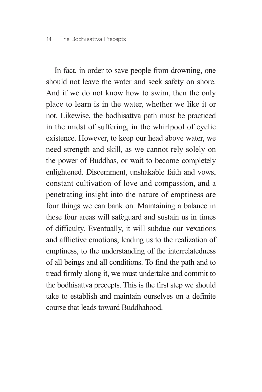In fact, in order to save people from drowning, one should not leave the water and seek safety on shore. And if we do not know how to swim, then the only place to learn is in the water, whether we like it or not. Likewise, the bodhisattva path must be practiced in the midst of suffering, in the whirlpool of cyclic existence. However, to keep our head above water, we need strength and skill, as we cannot rely solely on the power of Buddhas, or wait to become completely enlightened. Discernment, unshakable faith and vows, constant cultivation of love and compassion, and a penetrating insight into the nature of emptiness are four things we can bank on. Maintaining a balance in these four areas will safeguard and sustain us in times of difficulty. Eventually, it will subdue our vexations and afflictive emotions, leading us to the realization of emptiness, to the understanding of the interrelatedness of all beings and all conditions. To find the path and to tread firmly along it, we must undertake and commit to the bodhisattva precepts. This is the first step we should take to establish and maintain ourselves on a definite course that leads toward Buddhahood.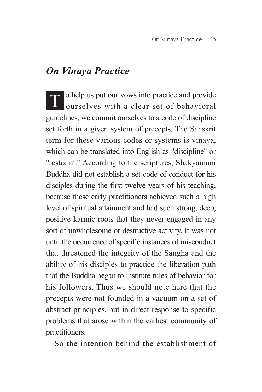#### *On Vinaya Practice*

O help us put our vows into practice and provide ourselves with a clear set of behavioral guidelines, we commit ourselves to a code of discipline set forth in a given system of precepts. The Sanskrit term for these various codes or systems is vinaya, which can be translated into English as "discipline" or "restraint." According to the scriptures, Shakyamuni Buddha did not establish a set code of conduct for his disciples during the first twelve years of his teaching, because these early practitioners achieved such a high level of spiritual attainment and had such strong, deep, positive karmic roots that they never engaged in any sort of unwholesome or destructive activity. It was not until the occurrence of specific instances of misconduct that threatened the integrity of the Sangha and the ability of his disciples to practice the liberation path that the Buddha began to institute rules of behavior for his followers. Thus we should note here that the precepts were not founded in a vacuum on a set of abstract principles, but in direct response to specific problems that arose within the earliest community of practitioners.

So the intention behind the establishment of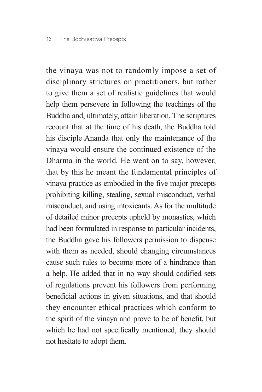the vinaya was not to randomly impose a set of disciplinary strictures on practitioners, but rather to give them a set of realistic guidelines that would help them persevere in following the teachings of the Buddha and, ultimately, attain liberation. The scriptures recount that at the time of his death, the Buddha told his disciple Ananda that only the maintenance of the vinaya would ensure the continued existence of the Dharma in the world. He went on to say, however, that by this he meant the fundamental principles of vinaya practice as embodied in the five major precepts prohibiting killing, stealing, sexual misconduct, verbal misconduct, and using intoxicants. As for the multitude of detailed minor precepts upheld by monastics, which had been formulated in response to particular incidents, the Buddha gave his followers permission to dispense with them as needed, should changing circumstances cause such rules to become more of a hindrance than a help. He added that in no way should codified sets of regulations prevent his followers from performing beneficial actions in given situations, and that should they encounter ethical practices which conform to the spirit of the vinaya and prove to be of benefit, but which he had not specifically mentioned, they should not hesitate to adopt them.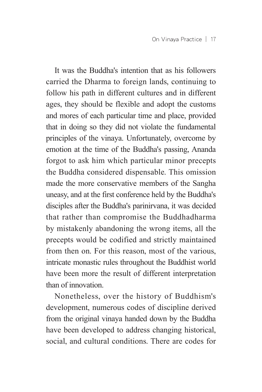It was the Buddha's intention that as his followers carried the Dharma to foreign lands, continuing to follow his path in different cultures and in different ages, they should be flexible and adopt the customs and mores of each particular time and place, provided that in doing so they did not violate the fundamental principles of the vinaya. Unfortunately, overcome by emotion at the time of the Buddha's passing, Ananda forgot to ask him which particular minor precepts the Buddha considered dispensable. This omission made the more conservative members of the Sangha uneasy, and at the first conference held by the Buddha's disciples after the Buddha's parinirvana, it was decided that rather than compromise the Buddhadharma by mistakenly abandoning the wrong items, all the precepts would be codified and strictly maintained from then on. For this reason, most of the various, intricate monastic rules throughout the Buddhist world have been more the result of different interpretation than of innovation.

Nonetheless, over the history of Buddhism's development, numerous codes of discipline derived from the original vinaya handed down by the Buddha have been developed to address changing historical, social, and cultural conditions. There are codes for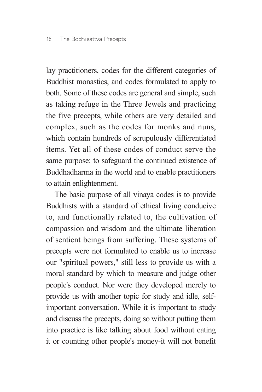lay practitioners, codes for the different categories of Buddhist monastics, and codes formulated to apply to both. Some of these codes are general and simple, such as taking refuge in the Three Jewels and practicing the five precepts, while others are very detailed and complex, such as the codes for monks and nuns, which contain hundreds of scrupulously differentiated items. Yet all of these codes of conduct serve the same purpose: to safeguard the continued existence of Buddhadharma in the world and to enable practitioners to attain enlightenment.

The basic purpose of all vinaya codes is to provide Buddhists with a standard of ethical living conducive to, and functionally related to, the cultivation of compassion and wisdom and the ultimate liberation of sentient beings from suffering. These systems of precepts were not formulated to enable us to increase our "spiritual powers," still less to provide us with a moral standard by which to measure and judge other people's conduct. Nor were they developed merely to provide us with another topic for study and idle, selfimportant conversation. While it is important to study and discuss the precepts, doing so without putting them into practice is like talking about food without eating it or counting other people's money-it will not benefit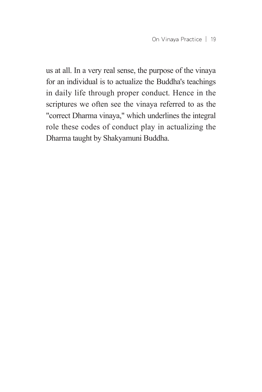us at all. In a very real sense, the purpose of the vinaya for an individual is to actualize the Buddha's teachings in daily life through proper conduct. Hence in the scriptures we often see the vinaya referred to as the "correct Dharma vinaya," which underlines the integral role these codes of conduct play in actualizing the Dharma taught by Shakyamuni Buddha.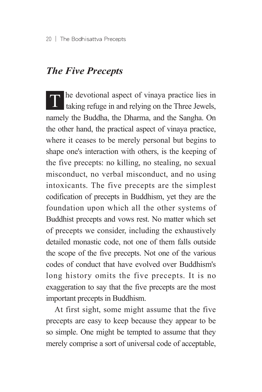#### *The Five Precepts*

The devotional aspect of vinaya practice lies in taking refuge in and relying on the Three Jewels, namely the Buddha, the Dharma, and the Sangha. On the other hand, the practical aspect of vinaya practice, where it ceases to be merely personal but begins to shape one's interaction with others, is the keeping of the five precepts: no killing, no stealing, no sexual misconduct, no verbal misconduct, and no using intoxicants. The five precepts are the simplest codification of precepts in Buddhism, yet they are the foundation upon which all the other systems of Buddhist precepts and vows rest. No matter which set of precepts we consider, including the exhaustively detailed monastic code, not one of them falls outside the scope of the five precepts. Not one of the various codes of conduct that have evolved over Buddhism's long history omits the five precepts. It is no exaggeration to say that the five precepts are the most important precepts in Buddhism.

At first sight, some might assume that the five precepts are easy to keep because they appear to be so simple. One might be tempted to assume that they merely comprise a sort of universal code of acceptable,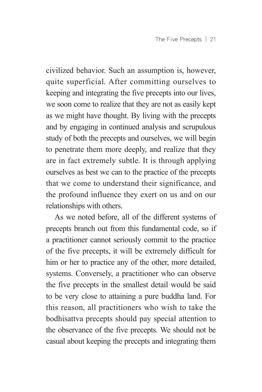civilized behavior. Such an assumption is, however, quite superficial. After committing ourselves to keeping and integrating the five precepts into our lives, we soon come to realize that they are not as easily kept as we might have thought. By living with the precepts and by engaging in continued analysis and scrupulous study of both the precepts and ourselves, we will begin to penetrate them more deeply, and realize that they are in fact extremely subtle. It is through applying ourselves as best we can to the practice of the precepts that we come to understand their significance, and the profound influence they exert on us and on our relationships with others.

As we noted before, all of the different systems of precepts branch out from this fundamental code, so if a practitioner cannot seriously commit to the practice of the five precepts, it will be extremely difficult for him or her to practice any of the other, more detailed, systems. Conversely, a practitioner who can observe the five precepts in the smallest detail would be said to be very close to attaining a pure buddha land. For this reason, all practitioners who wish to take the bodhisattva precepts should pay special attention to the observance of the five precepts. We should not be casual about keeping the precepts and integrating them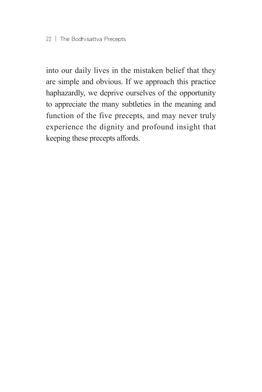into our daily lives in the mistaken belief that they are simple and obvious. If we approach this practice haphazardly, we deprive ourselves of the opportunity to appreciate the many subtleties in the meaning and function of the five precepts, and may never truly experience the dignity and profound insight that keeping these precepts affords.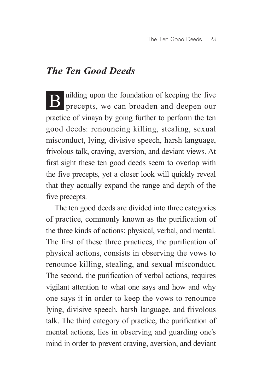# *The Ten Good Deeds*

**B** uilding upon the foundation of keeping the five precepts, we can broaden and deepen our practice of vinaya by going further to perform the ten good deeds: renouncing killing, stealing, sexual misconduct, lying, divisive speech, harsh language, frivolous talk, craving, aversion, and deviant views. At first sight these ten good deeds seem to overlap with the five precepts, yet a closer look will quickly reveal that they actually expand the range and depth of the five precepts.

The ten good deeds are divided into three categories of practice, commonly known as the purification of the three kinds of actions: physical, verbal, and mental. The first of these three practices, the purification of physical actions, consists in observing the vows to renounce killing, stealing, and sexual misconduct. The second, the purification of verbal actions, requires vigilant attention to what one says and how and why one says it in order to keep the vows to renounce lying, divisive speech, harsh language, and frivolous talk. The third category of practice, the purification of mental actions, lies in observing and guarding one's mind in order to prevent craving, aversion, and deviant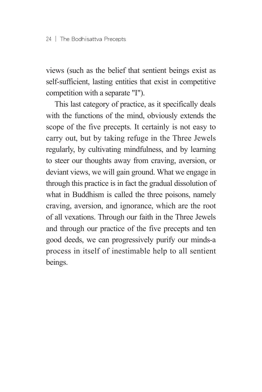views (such as the belief that sentient beings exist as self-sufficient, lasting entities that exist in competitive competition with a separate "I").

This last category of practice, as it specifically deals with the functions of the mind, obviously extends the scope of the five precepts. It certainly is not easy to carry out, but by taking refuge in the Three Jewels regularly, by cultivating mindfulness, and by learning to steer our thoughts away from craving, aversion, or deviant views, we will gain ground. What we engage in through this practice is in fact the gradual dissolution of what in Buddhism is called the three poisons, namely craving, aversion, and ignorance, which are the root of all vexations. Through our faith in the Three Jewels and through our practice of the five precepts and ten good deeds, we can progressively purify our minds-a process in itself of inestimable help to all sentient beings.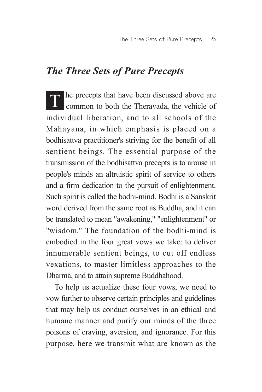### *The Three Sets of Pure Precepts*

The precepts that have been discussed above are common to both the Theravada, the vehicle of individual liberation, and to all schools of the Mahayana, in which emphasis is placed on a bodhisattva practitioner's striving for the benefit of all sentient beings. The essential purpose of the transmission of the bodhisattva precepts is to arouse in people's minds an altruistic spirit of service to others and a firm dedication to the pursuit of enlightenment. Such spirit is called the bodhi-mind. Bodhi is a Sanskrit word derived from the same root as Buddha, and it can be translated to mean "awakening," "enlightenment" or "wisdom." The foundation of the bodhi-mind is embodied in the four great vows we take: to deliver innumerable sentient beings, to cut off endless vexations, to master limitless approaches to the Dharma, and to attain supreme Buddhahood.

To help us actualize these four vows, we need to vow further to observe certain principles and guidelines that may help us conduct ourselves in an ethical and humane manner and purify our minds of the three poisons of craving, aversion, and ignorance. For this purpose, here we transmit what are known as the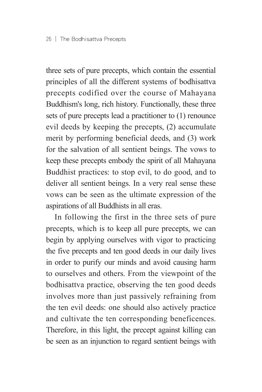three sets of pure precepts, which contain the essential principles of all the different systems of bodhisattva precepts codified over the course of Mahayana Buddhism's long, rich history. Functionally, these three sets of pure precepts lead a practitioner to (1) renounce evil deeds by keeping the precepts, (2) accumulate merit by performing beneficial deeds, and (3) work for the salvation of all sentient beings. The vows to keep these precepts embody the spirit of all Mahayana Buddhist practices: to stop evil, to do good, and to deliver all sentient beings. In a very real sense these vows can be seen as the ultimate expression of the aspirations of all Buddhists in all eras.

In following the first in the three sets of pure precepts, which is to keep all pure precepts, we can begin by applying ourselves with vigor to practicing the five precepts and ten good deeds in our daily lives in order to purify our minds and avoid causing harm to ourselves and others. From the viewpoint of the bodhisattva practice, observing the ten good deeds involves more than just passively refraining from the ten evil deeds: one should also actively practice and cultivate the ten corresponding beneficences. Therefore, in this light, the precept against killing can be seen as an injunction to regard sentient beings with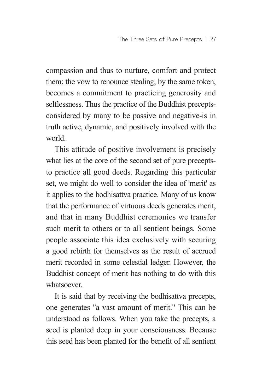compassion and thus to nurture, comfort and protect them; the vow to renounce stealing, by the same token, becomes a commitment to practicing generosity and selflessness. Thus the practice of the Buddhist preceptsconsidered by many to be passive and negative-is in truth active, dynamic, and positively involved with the world.

This attitude of positive involvement is precisely what lies at the core of the second set of pure preceptsto practice all good deeds. Regarding this particular set, we might do well to consider the idea of 'merit' as it applies to the bodhisattva practice. Many of us know that the performance of virtuous deeds generates merit, and that in many Buddhist ceremonies we transfer such merit to others or to all sentient beings. Some people associate this idea exclusively with securing a good rebirth for themselves as the result of accrued merit recorded in some celestial ledger. However, the Buddhist concept of merit has nothing to do with this whatsoever.

It is said that by receiving the bodhisattva precepts, one generates "a vast amount of merit." This can be understood as follows. When you take the precepts, a seed is planted deep in your consciousness. Because this seed has been planted for the benefit of all sentient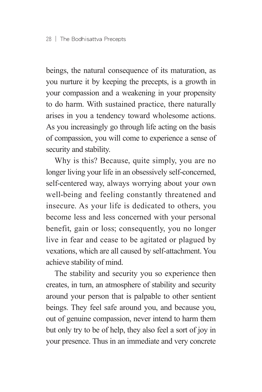beings, the natural consequence of its maturation, as you nurture it by keeping the precepts, is a growth in your compassion and a weakening in your propensity to do harm. With sustained practice, there naturally arises in you a tendency toward wholesome actions. As you increasingly go through life acting on the basis of compassion, you will come to experience a sense of security and stability.

Why is this? Because, quite simply, you are no longer living your life in an obsessively self-concerned, self-centered way, always worrying about your own well-being and feeling constantly threatened and insecure. As your life is dedicated to others, you become less and less concerned with your personal benefit, gain or loss; consequently, you no longer live in fear and cease to be agitated or plagued by vexations, which are all caused by self-attachment. You achieve stability of mind.

The stability and security you so experience then creates, in turn, an atmosphere of stability and security around your person that is palpable to other sentient beings. They feel safe around you, and because you, out of genuine compassion, never intend to harm them but only try to be of help, they also feel a sort of joy in your presence. Thus in an immediate and very concrete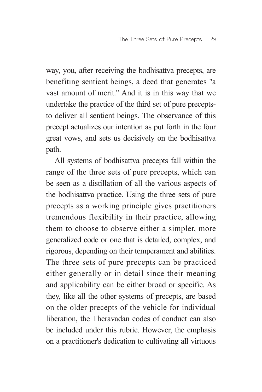way, you, after receiving the bodhisattva precepts, are benefiting sentient beings, a deed that generates "a vast amount of merit." And it is in this way that we undertake the practice of the third set of pure preceptsto deliver all sentient beings. The observance of this precept actualizes our intention as put forth in the four great vows, and sets us decisively on the bodhisattva path.

All systems of bodhisattva precepts fall within the range of the three sets of pure precepts, which can be seen as a distillation of all the various aspects of the bodhisattva practice. Using the three sets of pure precepts as a working principle gives practitioners tremendous flexibility in their practice, allowing them to choose to observe either a simpler, more generalized code or one that is detailed, complex, and rigorous, depending on their temperament and abilities. The three sets of pure precepts can be practiced either generally or in detail since their meaning and applicability can be either broad or specific. As they, like all the other systems of precepts, are based on the older precepts of the vehicle for individual liberation, the Theravadan codes of conduct can also be included under this rubric. However, the emphasis on a practitioner's dedication to cultivating all virtuous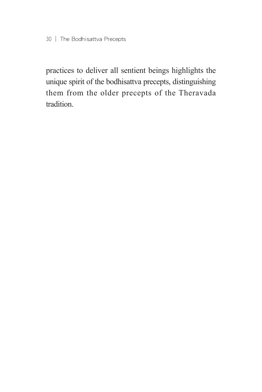practices to deliver all sentient beings highlights the unique spirit of the bodhisattva precepts, distinguishing them from the older precepts of the Theravada tradition.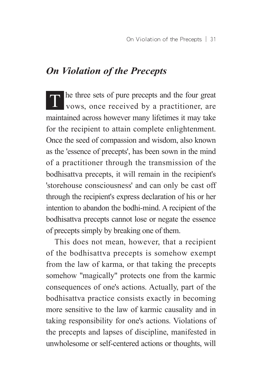# *On Violation of the Precepts*

T he three sets of pure precepts and the four great vows, once received by a practitioner, are maintained across however many lifetimes it may take for the recipient to attain complete enlightenment. Once the seed of compassion and wisdom, also known as the 'essence of precepts', has been sown in the mind of a practitioner through the transmission of the bodhisattva precepts, it will remain in the recipient's 'storehouse consciousness' and can only be cast off through the recipient's express declaration of his or her intention to abandon the bodhi-mind. A recipient of the bodhisattva precepts cannot lose or negate the essence of precepts simply by breaking one of them.

This does not mean, however, that a recipient of the bodhisattva precepts is somehow exempt from the law of karma, or that taking the precepts somehow "magically" protects one from the karmic consequences of one's actions. Actually, part of the bodhisattva practice consists exactly in becoming more sensitive to the law of karmic causality and in taking responsibility for one's actions. Violations of the precepts and lapses of discipline, manifested in unwholesome or self-centered actions or thoughts, will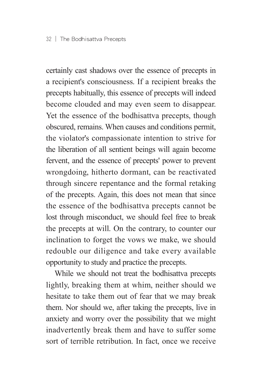certainly cast shadows over the essence of precepts in a recipient's consciousness. If a recipient breaks the precepts habitually, this essence of precepts will indeed become clouded and may even seem to disappear. Yet the essence of the bodhisattva precepts, though obscured, remains. When causes and conditions permit, the violator's compassionate intention to strive for the liberation of all sentient beings will again become fervent, and the essence of precepts' power to prevent wrongdoing, hitherto dormant, can be reactivated through sincere repentance and the formal retaking of the precepts. Again, this does not mean that since the essence of the bodhisattva precepts cannot be lost through misconduct, we should feel free to break the precepts at will. On the contrary, to counter our inclination to forget the vows we make, we should redouble our diligence and take every available opportunity to study and practice the precepts.

While we should not treat the bodhisattva precepts lightly, breaking them at whim, neither should we hesitate to take them out of fear that we may break them. Nor should we, after taking the precepts, live in anxiety and worry over the possibility that we might inadvertently break them and have to suffer some sort of terrible retribution. In fact, once we receive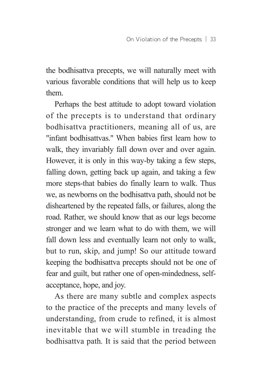the bodhisattva precepts, we will naturally meet with various favorable conditions that will help us to keep them.

Perhaps the best attitude to adopt toward violation of the precepts is to understand that ordinary bodhisattva practitioners, meaning all of us, are "infant bodhisattvas." When babies first learn how to walk, they invariably fall down over and over again. However, it is only in this way-by taking a few steps, falling down, getting back up again, and taking a few more steps-that babies do finally learn to walk. Thus we, as newborns on the bodhisattva path, should not be disheartened by the repeated falls, or failures, along the road. Rather, we should know that as our legs become stronger and we learn what to do with them, we will fall down less and eventually learn not only to walk, but to run, skip, and jump! So our attitude toward keeping the bodhisattva precepts should not be one of fear and guilt, but rather one of open-mindedness, selfacceptance, hope, and joy.

As there are many subtle and complex aspects to the practice of the precepts and many levels of understanding, from crude to refined, it is almost inevitable that we will stumble in treading the bodhisattva path. It is said that the period between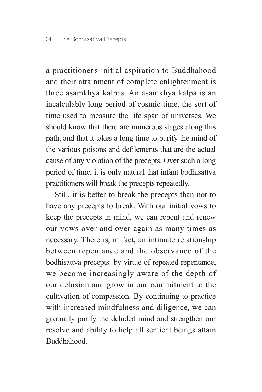a practitioner's initial aspiration to Buddhahood and their attainment of complete enlightenment is three asamkhya kalpas. An asamkhya kalpa is an incalculably long period of cosmic time, the sort of time used to measure the life span of universes. We should know that there are numerous stages along this path, and that it takes a long time to purify the mind of the various poisons and defilements that are the actual cause of any violation of the precepts. Over such a long period of time, it is only natural that infant bodhisattva practitioners will break the precepts repeatedly.

Still, it is better to break the precepts than not to have any precepts to break. With our initial vows to keep the precepts in mind, we can repent and renew our vows over and over again as many times as necessary. There is, in fact, an intimate relationship between repentance and the observance of the bodhisattva precepts: by virtue of repeated repentance, we become increasingly aware of the depth of our delusion and grow in our commitment to the cultivation of compassion. By continuing to practice with increased mindfulness and diligence, we can gradually purify the deluded mind and strengthen our resolve and ability to help all sentient beings attain Buddhahood.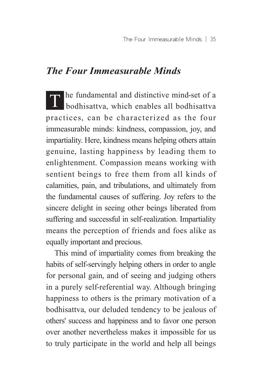### *The Four Immeasurable Minds*

 $\Gamma$  he fundamental and distinctive mind-set of a bodhisattva, which enables all bodhisattva practices, can be characterized as the four immeasurable minds: kindness, compassion, joy, and impartiality. Here, kindness means helping others attain genuine, lasting happiness by leading them to enlightenment. Compassion means working with sentient beings to free them from all kinds of calamities, pain, and tribulations, and ultimately from the fundamental causes of suffering. Joy refers to the sincere delight in seeing other beings liberated from suffering and successful in self-realization. Impartiality means the perception of friends and foes alike as equally important and precious.

This mind of impartiality comes from breaking the habits of self-servingly helping others in order to angle for personal gain, and of seeing and judging others in a purely self-referential way. Although bringing happiness to others is the primary motivation of a bodhisattva, our deluded tendency to be jealous of others' success and happiness and to favor one person over another nevertheless makes it impossible for us to truly participate in the world and help all beings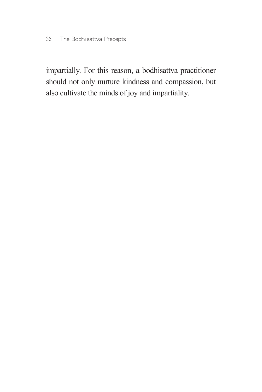impartially. For this reason, a bodhisattva practitioner should not only nurture kindness and compassion, but also cultivate the minds of joy and impartiality.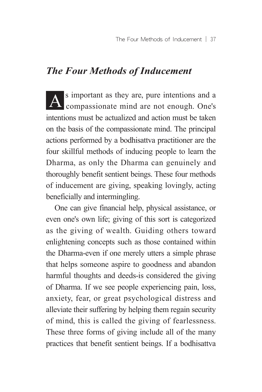# *The Four Methods of Inducement*

A s important as they are, pure intentions and a compassionate mind are not enough. One's intentions must be actualized and action must be taken on the basis of the compassionate mind. The principal actions performed by a bodhisattva practitioner are the four skillful methods of inducing people to learn the Dharma, as only the Dharma can genuinely and thoroughly benefit sentient beings. These four methods of inducement are giving, speaking lovingly, acting beneficially and intermingling.

One can give financial help, physical assistance, or even one's own life; giving of this sort is categorized as the giving of wealth. Guiding others toward enlightening concepts such as those contained within the Dharma-even if one merely utters a simple phrase that helps someone aspire to goodness and abandon harmful thoughts and deeds-is considered the giving of Dharma. If we see people experiencing pain, loss, anxiety, fear, or great psychological distress and alleviate their suffering by helping them regain security of mind, this is called the giving of fearlessness. These three forms of giving include all of the many practices that benefit sentient beings. If a bodhisattva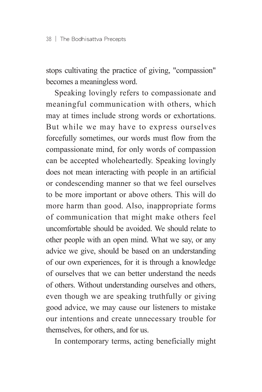stops cultivating the practice of giving, "compassion" becomes a meaningless word.

Speaking lovingly refers to compassionate and meaningful communication with others, which may at times include strong words or exhortations. But while we may have to express ourselves forcefully sometimes, our words must flow from the compassionate mind, for only words of compassion can be accepted wholeheartedly. Speaking lovingly does not mean interacting with people in an artificial or condescending manner so that we feel ourselves to be more important or above others. This will do more harm than good. Also, inappropriate forms of communication that might make others feel uncomfortable should be avoided. We should relate to other people with an open mind. What we say, or any advice we give, should be based on an understanding of our own experiences, for it is through a knowledge of ourselves that we can better understand the needs of others. Without understanding ourselves and others, even though we are speaking truthfully or giving good advice, we may cause our listeners to mistake our intentions and create unnecessary trouble for themselves, for others, and for us.

In contemporary terms, acting beneficially might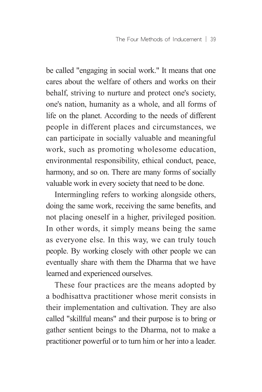be called "engaging in social work." It means that one cares about the welfare of others and works on their behalf, striving to nurture and protect one's society, one's nation, humanity as a whole, and all forms of life on the planet. According to the needs of different people in different places and circumstances, we can participate in socially valuable and meaningful work, such as promoting wholesome education, environmental responsibility, ethical conduct, peace, harmony, and so on. There are many forms of socially valuable work in every society that need to be done.

Intermingling refers to working alongside others, doing the same work, receiving the same benefits, and not placing oneself in a higher, privileged position. In other words, it simply means being the same as everyone else. In this way, we can truly touch people. By working closely with other people we can eventually share with them the Dharma that we have learned and experienced ourselves.

These four practices are the means adopted by a bodhisattva practitioner whose merit consists in their implementation and cultivation. They are also called "skillful means" and their purpose is to bring or gather sentient beings to the Dharma, not to make a practitioner powerful or to turn him or her into a leader.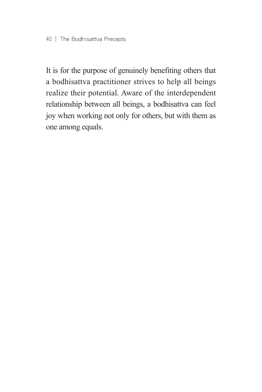It is for the purpose of genuinely benefiting others that a bodhisattva practitioner strives to help all beings realize their potential. Aware of the interdependent relationship between all beings, a bodhisattva can feel joy when working not only for others, but with them as one among equals.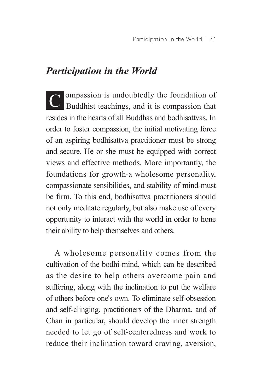# *Participation in the World*

C ompassion is undoubtedly the foundation of Buddhist teachings, and it is compassion that resides in the hearts of all Buddhas and bodhisattvas. In order to foster compassion, the initial motivating force of an aspiring bodhisattva practitioner must be strong and secure. He or she must be equipped with correct views and effective methods. More importantly, the foundations for growth-a wholesome personality, compassionate sensibilities, and stability of mind-must be firm. To this end, bodhisattva practitioners should not only meditate regularly, but also make use of every opportunity to interact with the world in order to hone their ability to help themselves and others.

A wholesome personality comes from the cultivation of the bodhi-mind, which can be described as the desire to help others overcome pain and suffering, along with the inclination to put the welfare of others before one's own. To eliminate self-obsession and self-clinging, practitioners of the Dharma, and of Chan in particular, should develop the inner strength needed to let go of self-centeredness and work to reduce their inclination toward craving, aversion,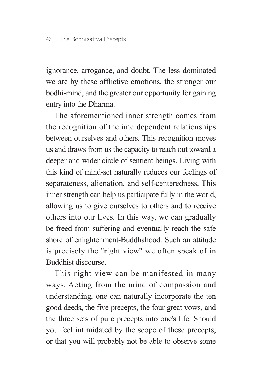ignorance, arrogance, and doubt. The less dominated we are by these afflictive emotions, the stronger our bodhi-mind, and the greater our opportunity for gaining entry into the Dharma.

The aforementioned inner strength comes from the recognition of the interdependent relationships between ourselves and others. This recognition moves us and draws from us the capacity to reach out toward a deeper and wider circle of sentient beings. Living with this kind of mind-set naturally reduces our feelings of separateness, alienation, and self-centeredness. This inner strength can help us participate fully in the world, allowing us to give ourselves to others and to receive others into our lives. In this way, we can gradually be freed from suffering and eventually reach the safe shore of enlightenment-Buddhahood. Such an attitude is precisely the "right view" we often speak of in Buddhist discourse.

This right view can be manifested in many ways. Acting from the mind of compassion and understanding, one can naturally incorporate the ten good deeds, the five precepts, the four great vows, and the three sets of pure precepts into one's life. Should you feel intimidated by the scope of these precepts, or that you will probably not be able to observe some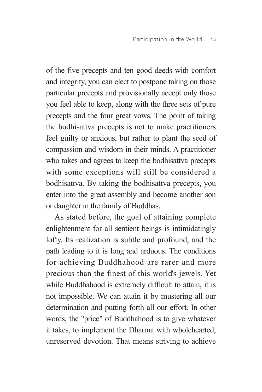of the five precepts and ten good deeds with comfort and integrity, you can elect to postpone taking on those particular precepts and provisionally accept only those you feel able to keep, along with the three sets of pure precepts and the four great vows. The point of taking the bodhisattva precepts is not to make practitioners feel guilty or anxious, but rather to plant the seed of compassion and wisdom in their minds. A practitioner who takes and agrees to keep the bodhisattva precepts with some exceptions will still be considered a bodhisattva. By taking the bodhisattva precepts, you enter into the great assembly and become another son or daughter in the family of Buddhas.

As stated before, the goal of attaining complete enlightenment for all sentient beings is intimidatingly lofty. Its realization is subtle and profound, and the path leading to it is long and arduous. The conditions for achieving Buddhahood are rarer and more precious than the finest of this world's jewels. Yet while Buddhahood is extremely difficult to attain, it is not impossible. We can attain it by mustering all our determination and putting forth all our effort. In other words, the "price" of Buddhahood is to give whatever it takes, to implement the Dharma with wholehearted, unreserved devotion. That means striving to achieve